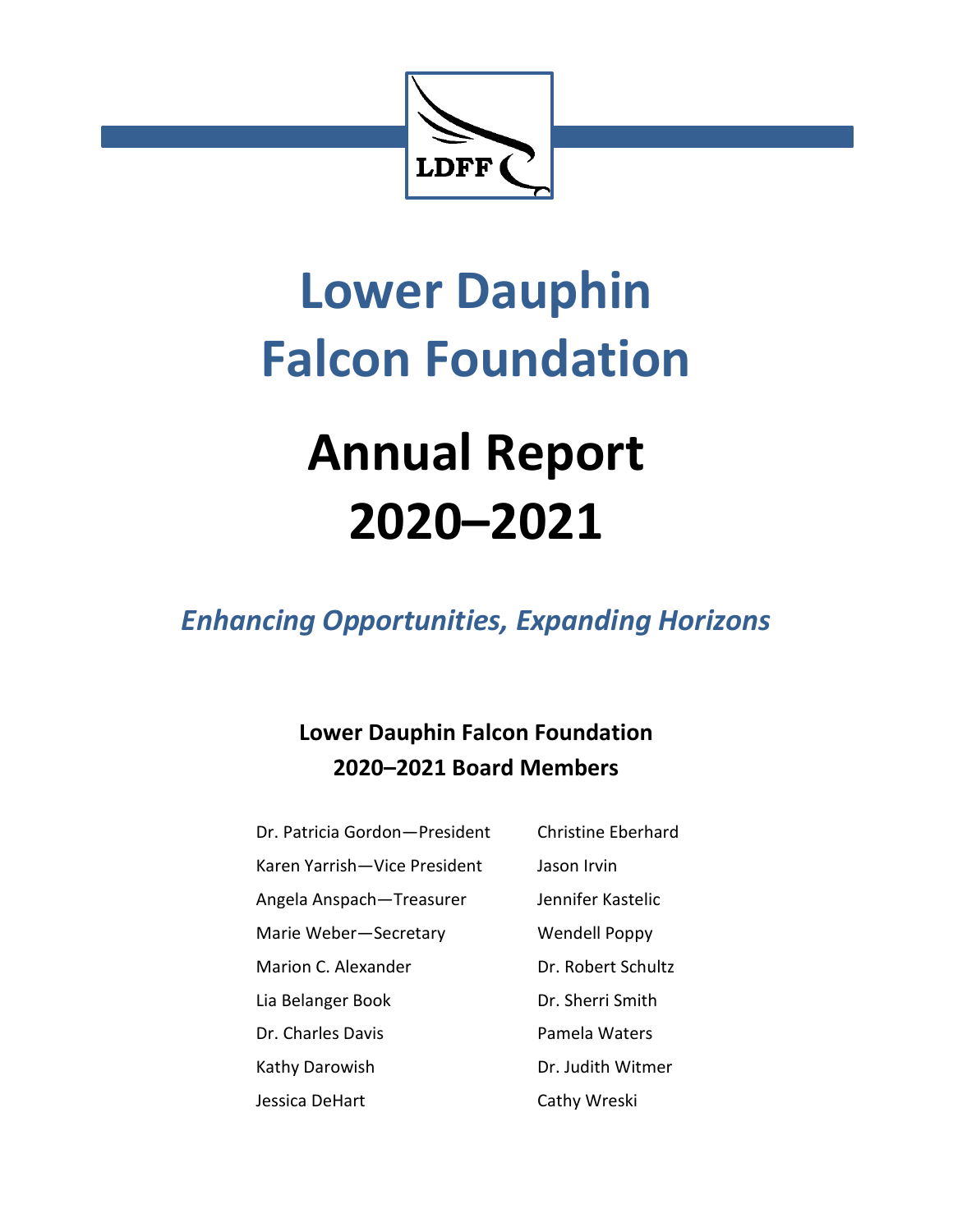

# **Lower Dauphin Falcon Foundation**

## **Annual Report 2020–2021**

*Enhancing Opportunities, Expanding Horizons*

## **Lower Dauphin Falcon Foundation 2020–2021 Board Members**

Dr. Patricia Gordon—President Christine Eberhard Karen Yarrish-Vice President Jason Irvin Angela Anspach-Treasurer Jennifer Kastelic Marie Weber-Secretary Wendell Poppy Marion C. Alexander Dr. Robert Schultz Lia Belanger Book Dr. Sherri Smith Dr. Charles Davis **Pamela Waters** Kathy Darowish Dr. Judith Witmer Jessica DeHart Cathy Wreski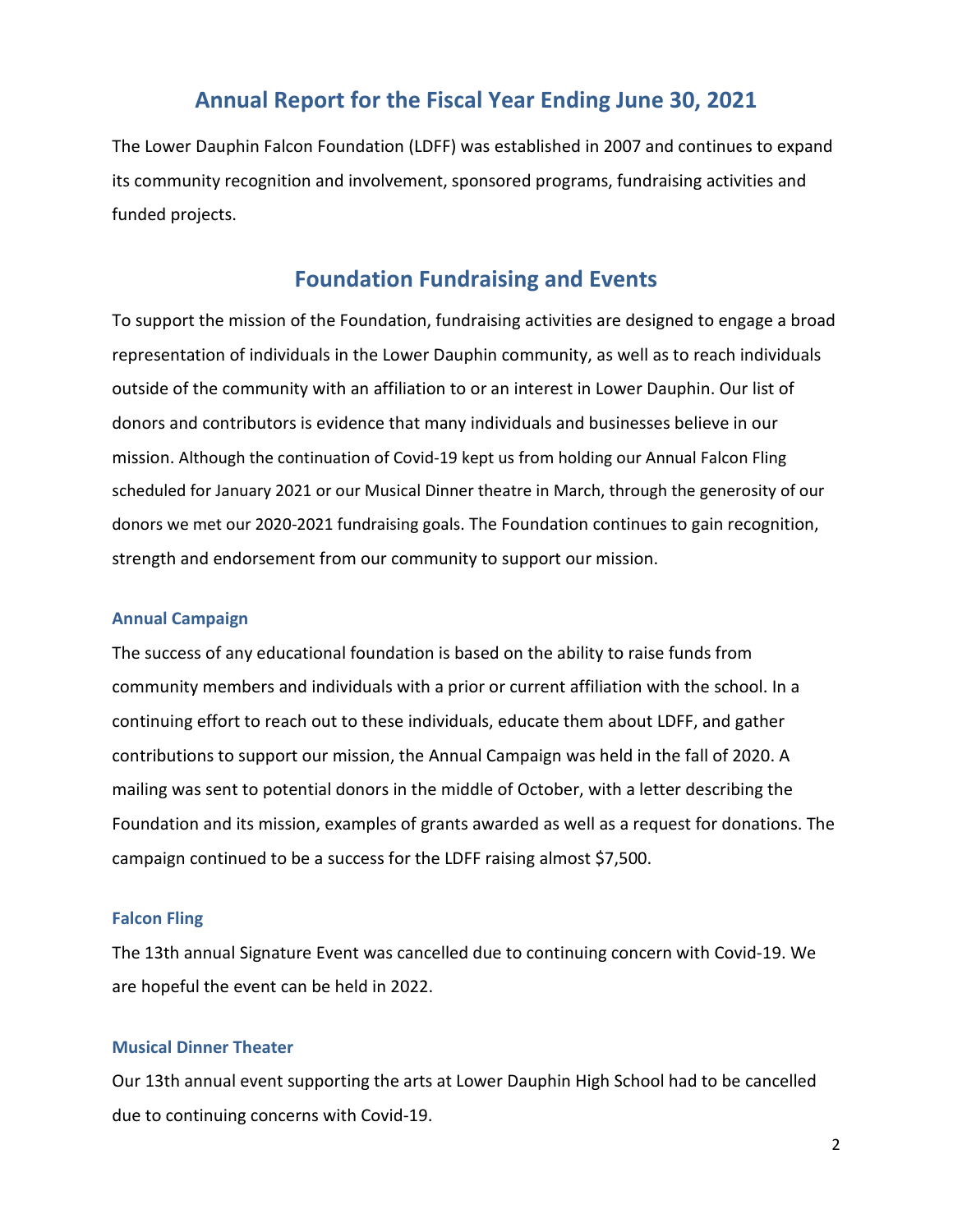## **Annual Report for the Fiscal Year Ending June 30, 2021**

The Lower Dauphin Falcon Foundation (LDFF) was established in 2007 and continues to expand its community recognition and involvement, sponsored programs, fundraising activities and funded projects.

## **Foundation Fundraising and Events**

To support the mission of the Foundation, fundraising activities are designed to engage a broad representation of individuals in the Lower Dauphin community, as well as to reach individuals outside of the community with an affiliation to or an interest in Lower Dauphin. Our list of donors and contributors is evidence that many individuals and businesses believe in our mission. Although the continuation of Covid-19 kept us from holding our Annual Falcon Fling scheduled for January 2021 or our Musical Dinner theatre in March, through the generosity of our donors we met our 2020-2021 fundraising goals. The Foundation continues to gain recognition, strength and endorsement from our community to support our mission.

#### **Annual Campaign**

The success of any educational foundation is based on the ability to raise funds from community members and individuals with a prior or current affiliation with the school. In a continuing effort to reach out to these individuals, educate them about LDFF, and gather contributions to support our mission, the Annual Campaign was held in the fall of 2020. A mailing was sent to potential donors in the middle of October, with a letter describing the Foundation and its mission, examples of grants awarded as well as a request for donations. The campaign continued to be a success for the LDFF raising almost \$7,500.

#### **Falcon Fling**

The 13th annual Signature Event was cancelled due to continuing concern with Covid-19. We are hopeful the event can be held in 2022.

#### **Musical Dinner Theater**

Our 13th annual event supporting the arts at Lower Dauphin High School had to be cancelled due to continuing concerns with Covid-19.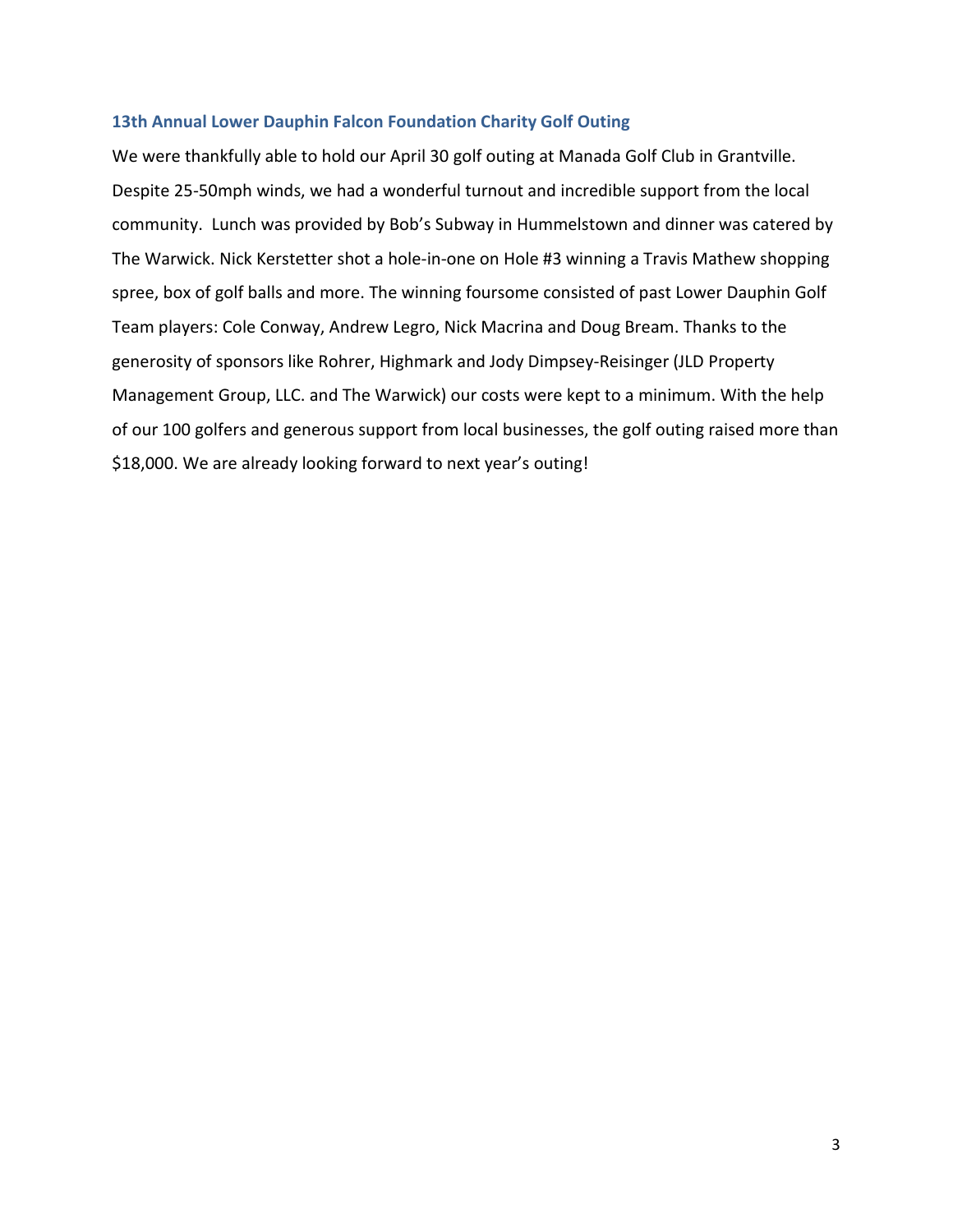#### **13th Annual Lower Dauphin Falcon Foundation Charity Golf Outing**

We were thankfully able to hold our April 30 golf outing at Manada Golf Club in Grantville. Despite 25-50mph winds, we had a wonderful turnout and incredible support from the local community. Lunch was provided by Bob's Subway in Hummelstown and dinner was catered by The Warwick. Nick Kerstetter shot a hole-in-one on Hole #3 winning a Travis Mathew shopping spree, box of golf balls and more. The winning foursome consisted of past Lower Dauphin Golf Team players: Cole Conway, Andrew Legro, Nick Macrina and Doug Bream. Thanks to the generosity of sponsors like Rohrer, Highmark and Jody Dimpsey-Reisinger (JLD Property Management Group, LLC. and The Warwick) our costs were kept to a minimum. With the help of our 100 golfers and generous support from local businesses, the golf outing raised more than \$18,000. We are already looking forward to next year's outing!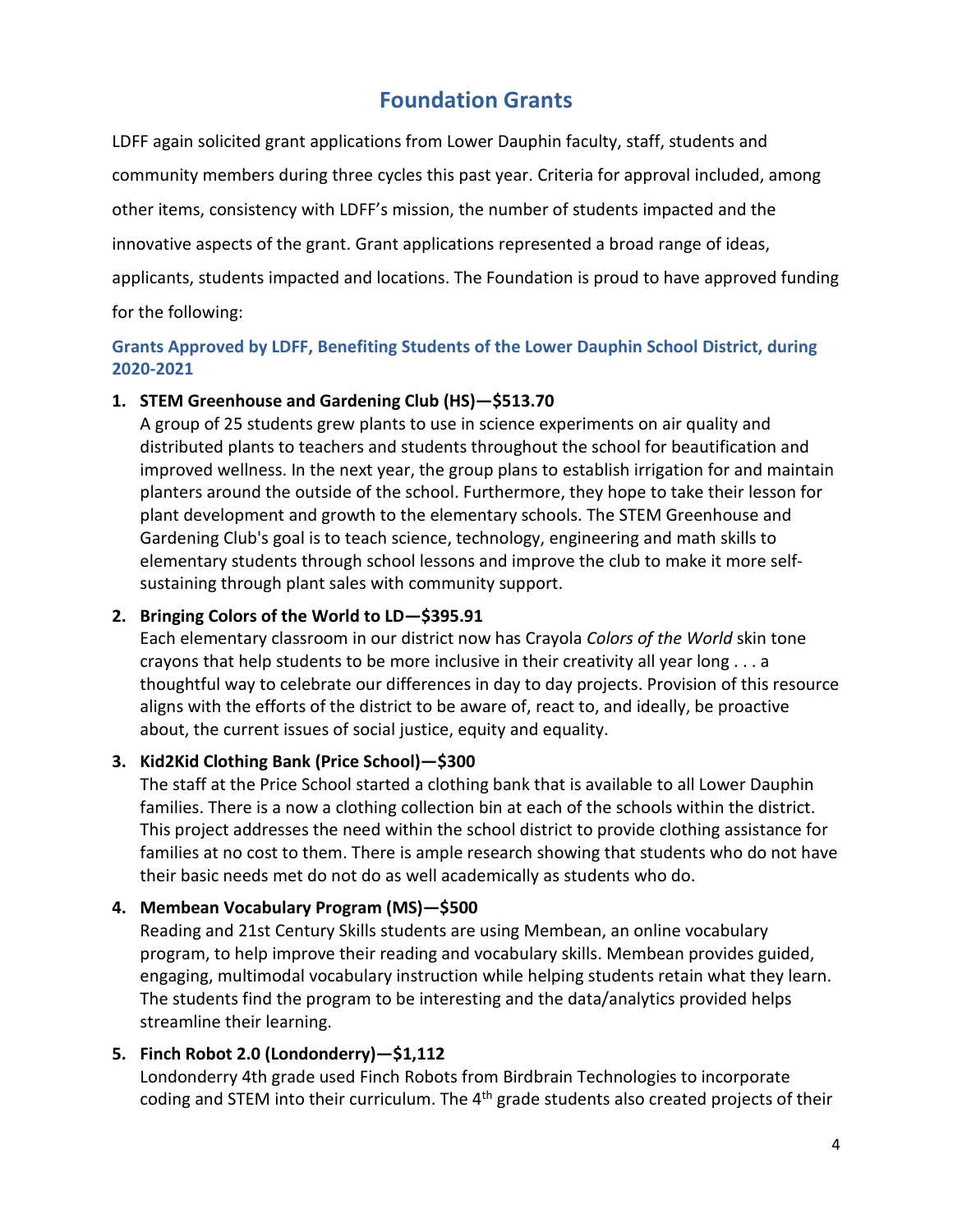## **Foundation Grants**

LDFF again solicited grant applications from Lower Dauphin faculty, staff, students and community members during three cycles this past year. Criteria for approval included, among other items, consistency with LDFF's mission, the number of students impacted and the innovative aspects of the grant. Grant applications represented a broad range of ideas, applicants, students impacted and locations. The Foundation is proud to have approved funding for the following:

#### **Grants Approved by LDFF, Benefiting Students of the Lower Dauphin School District, during 2020-2021**

#### **1. STEM Greenhouse and Gardening Club (HS)—\$513.70**

A group of 25 students grew plants to use in science experiments on air quality and distributed plants to teachers and students throughout the school for beautification and improved wellness. In the next year, the group plans to establish irrigation for and maintain planters around the outside of the school. Furthermore, they hope to take their lesson for plant development and growth to the elementary schools. The STEM Greenhouse and Gardening Club's goal is to teach science, technology, engineering and math skills to elementary students through school lessons and improve the club to make it more selfsustaining through plant sales with community support.

#### **2. Bringing Colors of the World to LD—\$395.91**

Each elementary classroom in our district now has Crayola *Colors of the World* skin tone crayons that help students to be more inclusive in their creativity all year long . . . a thoughtful way to celebrate our differences in day to day projects. Provision of this resource aligns with the efforts of the district to be aware of, react to, and ideally, be proactive about, the current issues of social justice, equity and equality.

#### **3. Kid2Kid Clothing Bank (Price School)—\$300**

The staff at the Price School started a clothing bank that is available to all Lower Dauphin families. There is a now a clothing collection bin at each of the schools within the district. This project addresses the need within the school district to provide clothing assistance for families at no cost to them. There is ample research showing that students who do not have their basic needs met do not do as well academically as students who do.

#### **4. Membean Vocabulary Program (MS)—\$500**

Reading and 21st Century Skills students are using Membean, an online vocabulary program, to help improve their reading and vocabulary skills. Membean provides guided, engaging, multimodal vocabulary instruction while helping students retain what they learn. The students find the program to be interesting and the data/analytics provided helps streamline their learning.

#### **5. Finch Robot 2.0 (Londonderry)—\$1,112**

Londonderry 4th grade used Finch Robots from Birdbrain Technologies to incorporate coding and STEM into their curriculum. The 4<sup>th</sup> grade students also created projects of their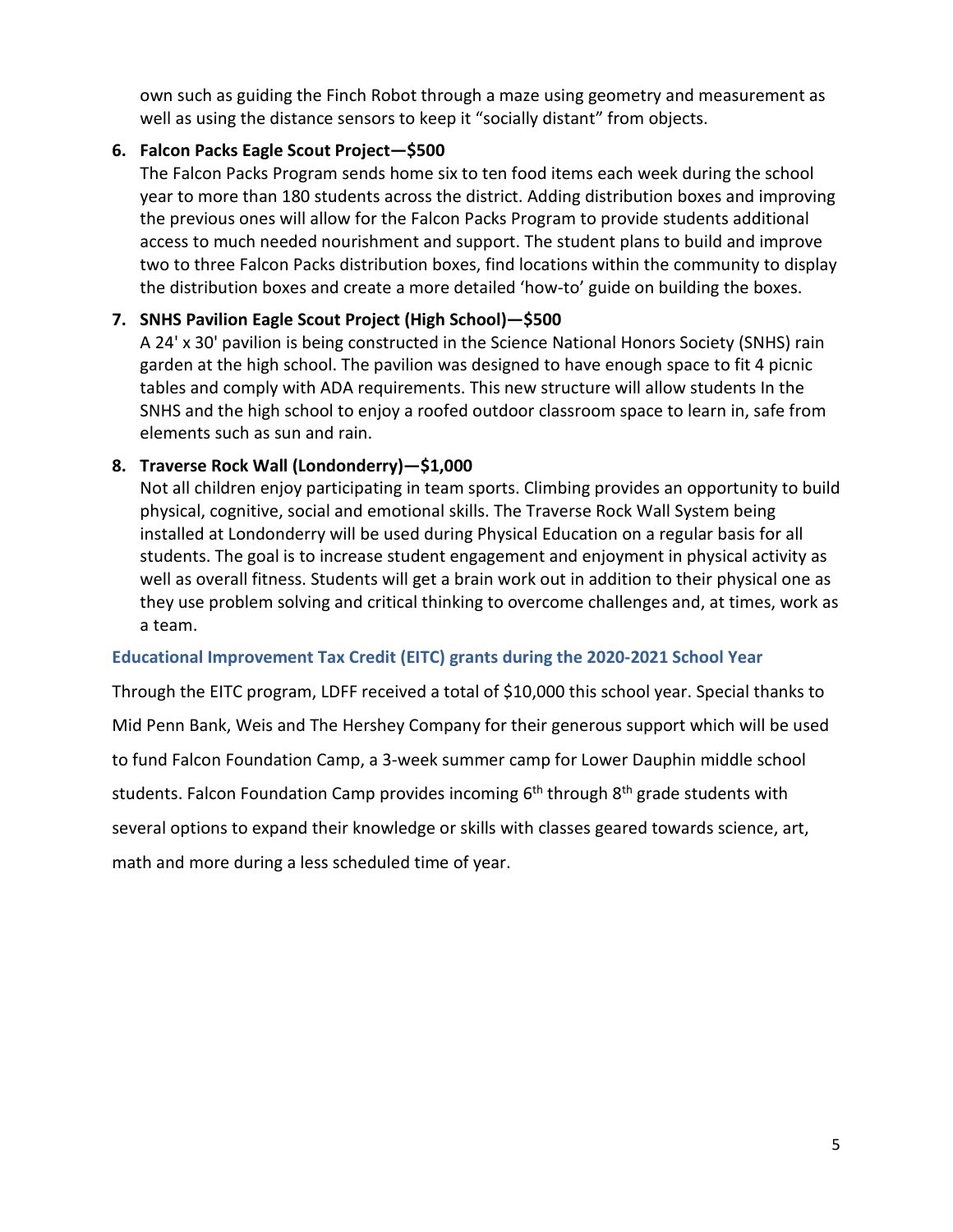own such as guiding the Finch Robot through a maze using geometry and measurement as well as using the distance sensors to keep it "socially distant" from objects.

#### **6. Falcon Packs Eagle Scout Project—\$500**

The Falcon Packs Program sends home six to ten food items each week during the school year to more than 180 students across the district. Adding distribution boxes and improving the previous ones will allow for the Falcon Packs Program to provide students additional access to much needed nourishment and support. The student plans to build and improve two to three Falcon Packs distribution boxes, find locations within the community to display the distribution boxes and create a more detailed 'how-to' guide on building the boxes.

#### **7. SNHS Pavilion Eagle Scout Project (High School)—\$500**

A 24' x 30' pavilion is being constructed in the Science National Honors Society (SNHS) rain garden at the high school. The pavilion was designed to have enough space to fit 4 picnic tables and comply with ADA requirements. This new structure will allow students In the SNHS and the high school to enjoy a roofed outdoor classroom space to learn in, safe from elements such as sun and rain.

#### **8. Traverse Rock Wall (Londonderry)—\$1,000**

Not all children enjoy participating in team sports. Climbing provides an opportunity to build physical, cognitive, social and emotional skills. The Traverse Rock Wall System being installed at Londonderry will be used during Physical Education on a regular basis for all students. The goal is to increase student engagement and enjoyment in physical activity as well as overall fitness. Students will get a brain work out in addition to their physical one as they use problem solving and critical thinking to overcome challenges and, at times, work as a team.

#### **Educational Improvement Tax Credit (EITC) grants during the 2020-2021 School Year**

Through the EITC program, LDFF received a total of \$10,000 this school year. Special thanks to Mid Penn Bank, Weis and The Hershey Company for their generous support which will be used to fund Falcon Foundation Camp, a 3-week summer camp for Lower Dauphin middle school students. Falcon Foundation Camp provides incoming 6<sup>th</sup> through 8<sup>th</sup> grade students with several options to expand their knowledge or skills with classes geared towards science, art, math and more during a less scheduled time of year.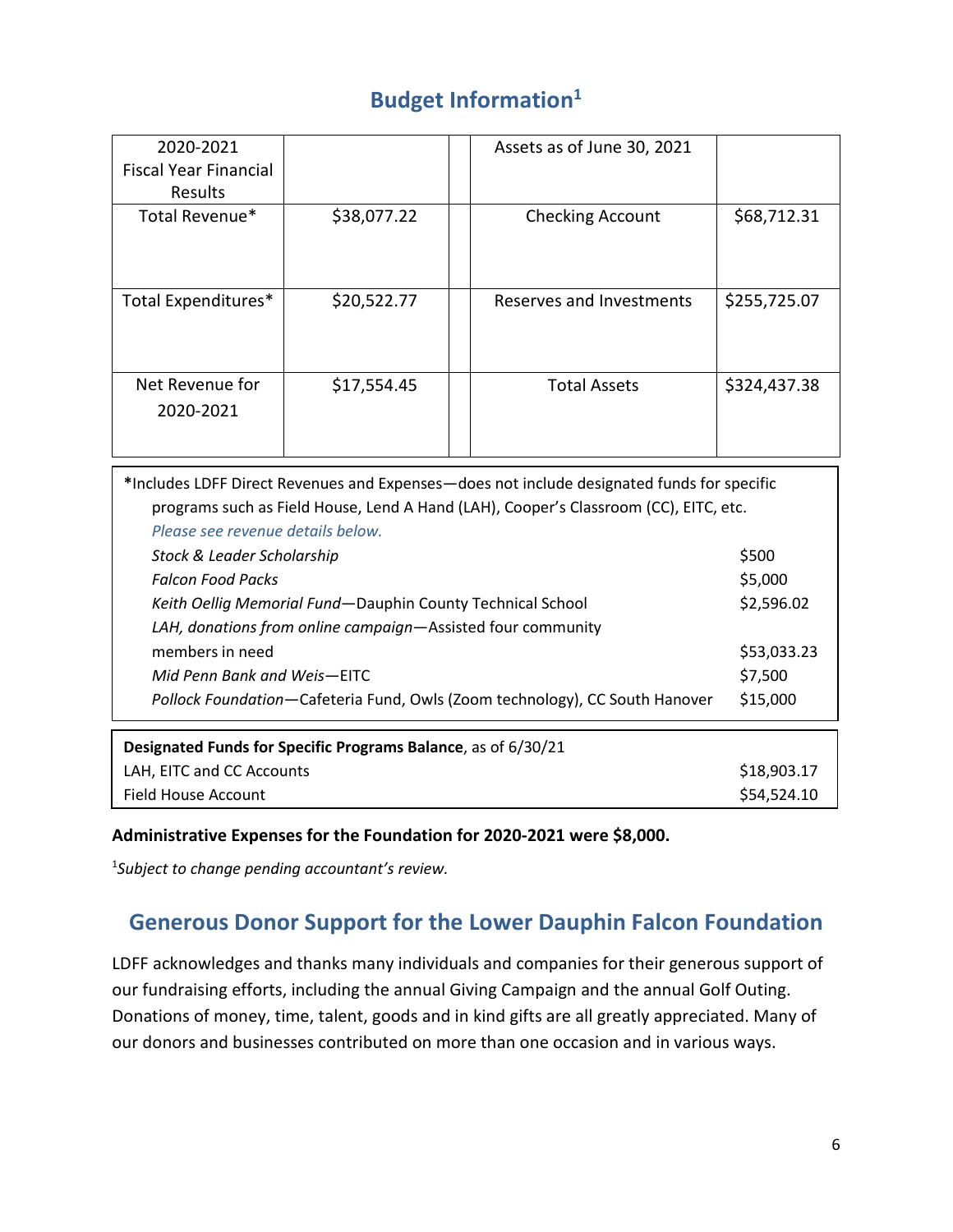## **Budget Information1**

| 2020-2021                    |             | Assets as of June 30, 2021 |              |
|------------------------------|-------------|----------------------------|--------------|
| <b>Fiscal Year Financial</b> |             |                            |              |
| Results                      |             |                            |              |
| Total Revenue*               | \$38,077.22 | <b>Checking Account</b>    | \$68,712.31  |
| Total Expenditures*          | \$20,522.77 | Reserves and Investments   | \$255,725.07 |
| Net Revenue for<br>2020-2021 | \$17,554.45 | <b>Total Assets</b>        | \$324,437.38 |

| *Includes LDFF Direct Revenues and Expenses—does not include designated funds for specific |             |  |  |  |
|--------------------------------------------------------------------------------------------|-------------|--|--|--|
| programs such as Field House, Lend A Hand (LAH), Cooper's Classroom (CC), EITC, etc.       |             |  |  |  |
| Please see revenue details below.                                                          |             |  |  |  |
| Stock & Leader Scholarship                                                                 | \$500       |  |  |  |
| <b>Falcon Food Packs</b>                                                                   | \$5,000     |  |  |  |
| Keith Oellig Memorial Fund-Dauphin County Technical School                                 | \$2,596.02  |  |  |  |
| LAH, donations from online campaign—Assisted four community                                |             |  |  |  |
| members in need                                                                            | \$53,033.23 |  |  |  |
| Mid Penn Bank and Weis—EITC                                                                | \$7,500     |  |  |  |
| Pollock Foundation-Cafeteria Fund, Owls (Zoom technology), CC South Hanover                | \$15,000    |  |  |  |
| Designated Funds for Specific Programs Balance, as of 6/30/21                              |             |  |  |  |
| LAH, EITC and CC Accounts                                                                  | \$18,903.17 |  |  |  |
| Field House Account                                                                        | \$54,524.10 |  |  |  |

#### **Administrative Expenses for the Foundation for 2020-2021 were \$8,000.**

1 *Subject to change pending accountant's review.*

## **Generous Donor Support for the Lower Dauphin Falcon Foundation**

LDFF acknowledges and thanks many individuals and companies for their generous support of our fundraising efforts, including the annual Giving Campaign and the annual Golf Outing. Donations of money, time, talent, goods and in kind gifts are all greatly appreciated. Many of our donors and businesses contributed on more than one occasion and in various ways.